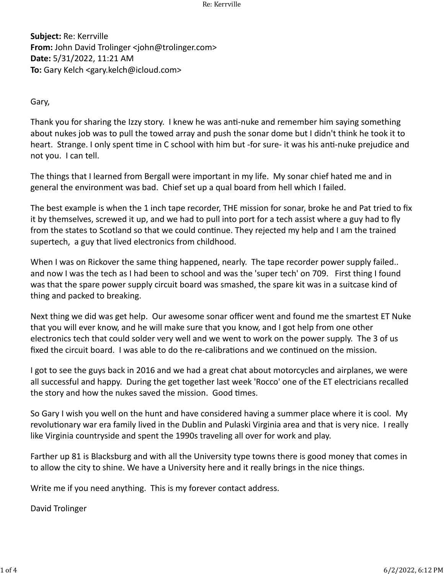**Subject:** Re: Kerrville **From:** John David Trolinger <john@trolinger.com> **Date:** 5/31/2022, 11:21 AM **To:** Gary Kelch <gary.kelch@icloud.com>

Gary,

Thank you for sharing the Izzy story. I knew he was an�-nuke and remember him saying something about nukes job was to pull the towed array and push the sonar dome but I didn't think he took it to heart. Strange. I only spent time in C school with him but -for sure- it was his anti-nuke prejudice and not you. I can tell.

The things that I learned from Bergall were important in my life. My sonar chief hated me and in general the environment was bad. Chief set up a qual board from hell which I failed.

The best example is when the 1 inch tape recorder, THE mission for sonar, broke he and Pat tried to fix it by themselves, screwed it up, and we had to pull into port for a tech assist where a guy had to fly from the states to Scotland so that we could continue. They rejected my help and I am the trained supertech, a guy that lived electronics from childhood.

When I was on Rickover the same thing happened, nearly. The tape recorder power supply failed.. and now I was the tech as I had been to school and was the 'super tech' on 709. First thing I found was that the spare power supply circuit board was smashed, the spare kit was in a suitcase kind of thing and packed to breaking.

Next thing we did was get help. Our awesome sonar officer went and found me the smartest ET Nuke that you will ever know, and he will make sure that you know, and I got help from one other electronics tech that could solder very well and we went to work on the power supply. The 3 of us fixed the circuit board. I was able to do the re-calibrations and we continued on the mission.

I got to see the guys back in 2016 and we had a great chat about motorcycles and airplanes, we were all successful and happy. During the get together last week 'Rocco' one of the ET electricians recalled the story and how the nukes saved the mission. Good times.

So Gary I wish you well on the hunt and have considered having a summer place where it is cool. My revolutionary war era family lived in the Dublin and Pulaski Virginia area and that is very nice. I really like Virginia countryside and spent the 1990s traveling all over for work and play.

Farther up 81 is Blacksburg and with all the University type towns there is good money that comes in to allow the city to shine. We have a University here and it really brings in the nice things.

Write me if you need anything. This is my forever contact address.

David Trolinger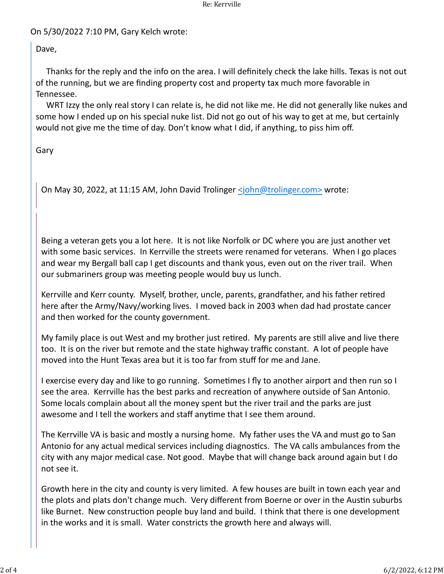## Re: Kerrville

## On 5/30/2022 7:10 PM, Gary Kelch wrote:

Dave,

 Thanks for the reply and the info on the area. I will definitely check the lake hills. Texas is not out of the running, but we are finding property cost and property tax much more favorable in Tennessee.

 WRT Izzy the only real story I can relate is, he did not like me. He did not generally like nukes and some how I ended up on his special nuke list. Did not go out of his way to get at me, but certainly would not give me the time of day. Don't know what I did, if anything, to piss him off.

Gary

On May 30, 2022, at 11:15 AM, John David Trolinger [<john@trolinger.com>](mailto:john@trolinger.com) wrote:

Being a veteran gets you a lot here. It is not like Norfolk or DC where you are just another vet with some basic services. In Kerrville the streets were renamed for veterans. When I go places and wear my Bergall ball cap I get discounts and thank yous, even out on the river trail. When our submariners group was meeting people would buy us lunch.

Kerrville and Kerr county. Myself, brother, uncle, parents, grandfather, and his father retired here after the Army/Navy/working lives. I moved back in 2003 when dad had prostate cancer and then worked for the county government.

My family place is out West and my brother just retired. My parents are still alive and live there too. It is on the river but remote and the state highway traffic constant. A lot of people have moved into the Hunt Texas area but it is too far from stuff for me and Jane.

I exercise every day and like to go running. Sometimes I fly to another airport and then run so I see the area. Kerrville has the best parks and recreation of anywhere outside of San Antonio. Some locals complain about all the money spent but the river trail and the parks are just awesome and I tell the workers and staff anytime that I see them around.

The Kerrville VA is basic and mostly a nursing home. My father uses the VA and must go to San Antonio for any actual medical services including diagnostics. The VA calls ambulances from the city with any major medical case. Not good. Maybe that will change back around again but I do not see it.

Growth here in the city and county is very limited. A few houses are built in town each year and the plots and plats don't change much. Very different from Boerne or over in the Austin suburbs like Burnet. New construction people buy land and build. I think that there is one development in the works and it is small. Water constricts the growth here and always will.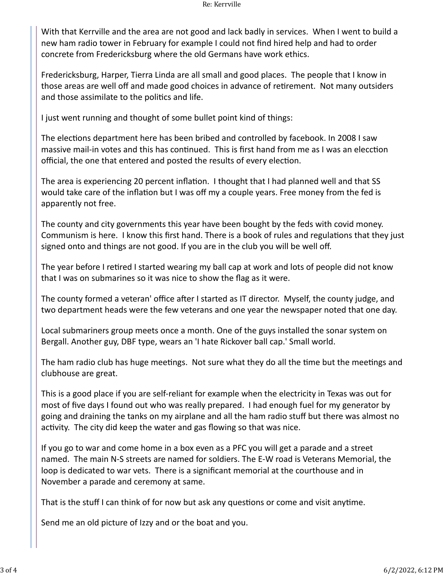With that Kerrville and the area are not good and lack badly in services. When I went to build a new ham radio tower in February for example I could not find hired help and had to order concrete from Fredericksburg where the old Germans have work ethics.

Fredericksburg, Harper, Tierra Linda are all small and good places. The people that I know in those areas are well off and made good choices in advance of retirement. Not many outsiders and those assimilate to the politics and life.

I just went running and thought of some bullet point kind of things:

The elections department here has been bribed and controlled by facebook. In 2008 I saw massive mail-in votes and this has continued. This is first hand from me as I was an elecction official, the one that entered and posted the results of every election.

The area is experiencing 20 percent inflation. I thought that I had planned well and that SS would take care of the inflation but I was off my a couple years. Free money from the fed is apparently not free.

The county and city governments this year have been bought by the feds with covid money. Communism is here. I know this first hand. There is a book of rules and regulations that they just signed onto and things are not good. If you are in the club you will be well off.

The year before I retired I started wearing my ball cap at work and lots of people did not know that I was on submarines so it was nice to show the flag as it were.

The county formed a veteran' office after I started as IT director. Myself, the county judge, and two department heads were the few veterans and one year the newspaper noted that one day.

Local submariners group meets once a month. One of the guys installed the sonar system on Bergall. Another guy, DBF type, wears an 'I hate Rickover ball cap.' Small world.

The ham radio club has huge meetings. Not sure what they do all the time but the meetings and clubhouse are great.

This is a good place if you are self-reliant for example when the electricity in Texas was out for most of five days I found out who was really prepared. I had enough fuel for my generator by going and draining the tanks on my airplane and all the ham radio stuff but there was almost no activity. The city did keep the water and gas flowing so that was nice.

If you go to war and come home in a box even as a PFC you will get a parade and a street named. The main N-S streets are named for soldiers. The E-W road is Veterans Memorial, the loop is dedicated to war vets. There is a significant memorial at the courthouse and in November a parade and ceremony at same.

That is the stuff I can think of for now but ask any questions or come and visit anytime.

Send me an old picture of Izzy and or the boat and you.